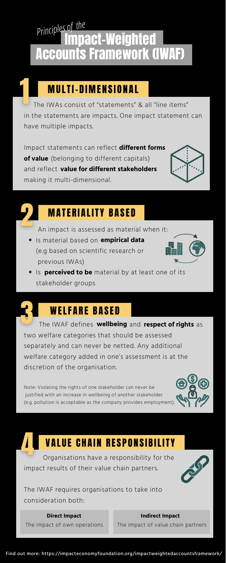Organisations have a responsibility for the impact results of their value chain partners.



The IWAF requires organisations to take into consideration both:

two welfare categories that should be assessed

separately and can never be netted. Any additional welfare category added in one's assessment is at the discretion of the organisation.

Is **perceived to be** material by at least one of its stakeholder groups

## **WELFARE BASED**

**The IWAF defines wellbeing and respect of rights** as

Note: Violating the rights of one stakeholder can never be justified with an increase in wellbeing of another stakeholder (e.g. pollution is acceptable as the company provides employment).



### **VALUE CHAIN RESPONSIBILITY**

 The IWAs consist of "statements" & all "line items" in the statements are impacts. One impact statement can have multiple impacts.

# pact-Weighted Accounts Framework (IWAF) *Principles of the*

# **MULTI-DIMENSIONAL**

Impact statements can reflect **different forms of value** (belonging to different capitals) and reflect **value for different stakeholders** making it multi-dimensional.



### **MATERIALITY BASED**

Is material based on **empirical data** (e.g based on scientific research or previous IWAs)



An impact is assessed as material when it:

Find out more: https://impacteconomyfoundation.org/impactweightedaccountsframework/

### **Direct Impact Indirect Impact**

The impact of own operations The impact of value chain partners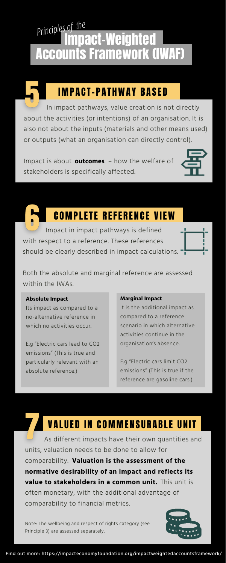Impact in impact pathways is defined with respect to a reference. These references should be clearly described in impact calculations.



Both the absolute and marginal reference are assessed within the IWAs.

Impact is about **outcomes** – how the welfare of stakeholders is specifically affected.



### **COMPLETE REFERENCE VIEW**

In impact pathways, value creation is not directly about the activities (or intentions) of an organisation. It is also not about the inputs (materials and other means used) or outputs (what an organisation can directly control).

Its impact as compared to a no-alternative reference in which no activities occur.

# Ipact-Weighted **Accounts Framework (IWAF)** *Principlesof the*



## **IMPACT-PATHWAY BASED**

E.g "Electric cars lead to CO2 emissions" (This is true and particularly relevant with an absolute reference.)

It is the additional impact as compared to a reference scenario in which alternative activities continue in the

organisation's absence.

E.g "Electric cars limit CO2 emissions" (This is true if the reference are gasoline cars.)

### VALUED IN COMMENSURABLE UNIT

As different impacts have their own quantities and units, valuation needs to be done to allow for comparability. **Valuation is the assessment of the value to stakeholders in a common unit.** This unit is often monetary, with the additional advantage of comparability to financial metrics. **normative desirability of an impact and reflects its**

Note: The wellbeing and respect of rights category (see Principle 3) are assessed separately.



### **Absolute Impact Marginal Impact**